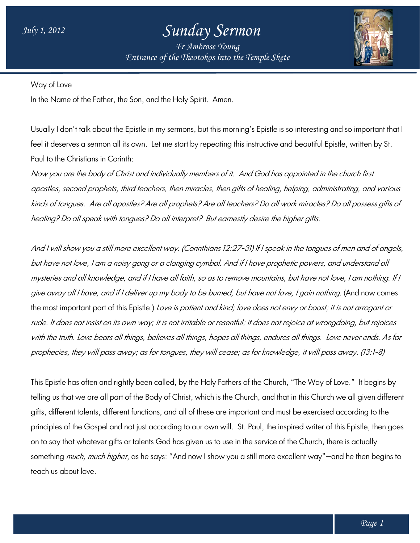## *Sunday Sermon*

*Entrance of the Theotokos Entrance of into the Temple Skete Fr Ambrose Young*



Way of Love

In the Name of the Father, the Son, and the Holy Spirit. Amen.

Usually I don't talk about the Epistle in my sermons, but this morning's Epistle is so interesting and so important that I Usually I don't talk about the Epistle in my sermons, but this morning's Epistle is so interesting and so important the<br>feel it deserves a sermon all its own. Let me start by repeating this instructive and beautiful Epistl Paul to the Christians in Corinth:

Now you are the body of Christ and individually members of it. And God has appointed in the church first apostles, second prophets, third teachers, then miracles, then gifts of healing, helping, administrating, and various kinds of tongues. Are all apostles? Are all prophets? Are all teachers? Do all work miracles? Do all possess gifts of<br>healing? Do all speak with tongues? Do all interpret? But earnestly desire the higher gifts. healing? Do all speak with tongues? Do all interpret?

And I will show you a still more excellent way. (Corinthians 12:27-31) If I speak in the tongues of men and of angels, but have not love, I am a noisy gong or a clanging cymbal. And if I have prophetic powers, and understand all mysteries and all knowledge, and if I have all faith, so as to remove mountains, but have not love, I am nothing. If I give away all I have, and if I deliver up my body to be burned, but have not love, I gain nothing. (And now comes the most important part of this Epistle:) Love is patient and kind; love does not envy or boast; it is not arrogant or rude. It does not insist on its own way; it is not irritable or resentful; it does not rejoice at wrongdoing, but rejoices rude. It does not insist on its own way; it is not irritable or resenttul; it does not rejoice at wrongdoing, but rejoices<br>with the truth. Love bears all things, believes all things, hopes all things, endures all things. L prophecies, they will pass away; as for tongues, they will cease; as for knowledge, it will pass away. (13:1-8) but have not love, I am a noisy gong or a clanging cymbal. And if I have prophetic powers, and understand all<br>mysteries and all knowledge, and if I have all faith, so as to remove mountains, but have not love, I am nothing

This Epistle has often and rightly been called, by the Holy Fathers of the Church, "The Way of Love."It begins by telling us that we are all part of the Body of Christ, which is the Church, and that in this Church we all given different telling us that we are all part of the Body of Christ, which is the Church, and that in this Church we all given diffe<br>gifts, different talents, different functions, and all of these are important and must be exercised acc principles of the Gospel and not just according to our own will. St. Paul, the inspired writer of this Epistle, then goes on to say that whatever gifts or talents God has given us to use in the service of the Church, there is actually something *much, much higher*, as he says: "And now I show you a still more excellent way"—and he then begins to teach us about love. nd must be exercised according to<br>the inspired writer of this Epistle, the<br>vice of the Church, there is actually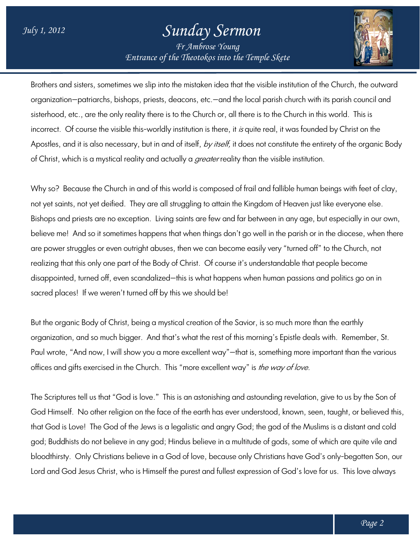## *Sunday Sermon*

*Entrance of the Theotokos Entrance of into the Temple Skete Fr Ambrose Young*



Brothers and sisters, sometimes we slip into the mistaken idea that the visible institution of the Church, the outward organization—patriarchs, bishops, priests, deacons, etc.—and the local parish church with its parish council and organization—patriarchs, bishops, priests, deacons, etc.—and the local parish church with its parish counci<br>sisterhood, etc., are the only reality there is to the Church or, all there is to the Church in this world. This i sisterhood, etc., are the only reality there is to the Church or, all there is to the Church in this world. This is<br>incorrect. Of course the visible this-worldly institution is there, it *is* quite real, it was founded by Apostles, and it is also necessary, but in and of itself, *by itself,* it does not constitute the entirety of the organic Body of Christ, which is a mystical reality and actually a *greater* reality than the visible institution. ere, it *is* quite real, it was founded by Christ on the<br>*ielf,* it does not constitute the entirety of the organic<br>reality than the visible institution.<br>bsed of frail and fallible human beings with feet of c<br>ain the Kingd

Why so? Because the Church in and of this world is composed of frail and fallible human beings with feet of clay, not yet saints, not yet deified. They are all struggling to attain the Kingdom of Heaven just like everyone else. Bishops and priests are no exception. Living saints are few and far between in any age, but especially in our own, believe me! And so it sometimes happens that when things don't go well in the parish or in the diocese, when there are power struggles or even outright abuses, then we can become easily very "turned off" to the Church, not realizing that this only one part of the Body of Christ. disappointed, turned off, even scandalized—this is what happens when human passions and politics go on in sacred places! If we weren't turned off by this we should be! And so it sometimes happens that when things don't go well in the parish or in the diocese, v<br>ruggles or even outright abuses, then we can become easily very "turned off" to the Church,<br>this only one part of the Body of Ch f Christ. Of course it's understandable that people become<br>this is what happens when human passions and politics go on in<br>is we should be!<br>cal creation of the Savior, is so much more than the earthly

But the organic Body of Christ, being a mystical creation of the Savior, is so much more than the ea organization, and so much bigger. And that's what the rest of this morning's Epistle deals with. Remember, St. But the organic Body of Christ, being a mystical creation of the Savior, is so much more than the earthly<br>organization, and so much bigger. And that's what the rest of this morning's Epistle deals with. Remember, St.<br>Paul offices and gifts exercised in the Church. This "more excellent way" is *the way of love.* 

The Scriptures tell us that "God is love." This is an astonishing and astounding revelation, give to us by the Son of God Himself. No other religion on the face of the earth has ever understood, known, seen, taught, or believed this, that God is Love! The God of the Jews is a legalistic and angry God; the god of the Muslims is a distant and cold god; Buddhists do not believe in any god; Hindus believe in a multitude of gods, some of which bloodthirsty. Only Christians believe in a God of love, because only Christians have God's only-begotten Son, our god; Buddhists do not believe in any god; Hindus believe in a multitude ot gods, some ot which are quite vile and<br>bloodthirsty. Only Christians believe in a God of love, because only Christians have God's only-begotten Son ellent way"—that is, something more important than the various<br>re excellent way" is *the way of love.*<br>astonishing and astounding revelation, give to us by the Son of<br>earth has ever understood, known, seen, taught, or beli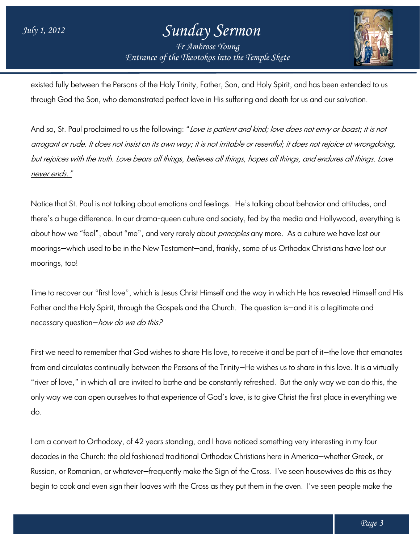## *Entrance of the Theotokos Entrance of into the Temple Skete Sunday Sermon Fr Ambrose Young*



existed fully between the Persons of the Holy Trinity, Father, Son, and Holy Spirit, and has been extended to us through God the Son, who demonstrated perfect love in His suffering and death for us and our salvation. existed fully between the Persons of the Holy Trinity, Father, Son, and Holy Spirit, and has been extended to us<br>through God the Son, who demonstrated perfect love in His suffering and death for us and our salvation.<br>And s

arrogant or rude. It does not insist on its own way; it is not irritable or resentful; it does not rejoice at wrongdoing, And so, St. Paul proclaimed to us the following: "*Love is patient and kind; love does not envy or boast; it is not*<br>*arrogant or rude. It does not insist on its own way; it is not irritable or resentful; it does not rejoi* never ends."

Notice that St. Paul is not talking about emotions and feelings. He's talking about behavior and attitudes, and there's a huge difference. In our drama-queen culture and society, fed by the media and Hollywood, everything is there's a huge difterence. In our drama-queen culture and society, ted by the media and Hollywood, everything<br>about how we "feel", about "me", and very rarely about *principles* any more. As a culture we have lost our moorings—which used to be in the New Testament—and, frankly, some of us Orthodox Christians have lost our moorings, too!

Time to recover our "first love", which is Jesus Christ Himself and the way in which He has revealed Himself and His Time to recover our "first love", which is Jesus Christ Himself and the way in which He has revealed Himsell<br>Father and the Holy Spirit, through the Gospels and the Church. The question is—and it is a legitimate and necessary question—*how do we do this?* 

First we need to remember that God wishes to share His love, to receive it and be part of it—the love that emanates First we need to remember that God wishes to share His love, to receive it and be part of it—the love that emanate<br>from and circulates continually between the Persons of the Trinity—He wishes us to share in this love. It i "river of love," in which all are invited to bathe and be constantly refreshed. But the only way we can do this, the "river of love," in which all are invited to bathe and be constantly refreshed. But the only way we can do this, the<br>only way we can open ourselves to that experience of God's love, is to give Christ the first place in eve do.

I am a convert to Orthodoxy, of 42 years standing, and I have noticed something very interesting in my four decades in the Church: the old fashioned traditional Orthodox Christians here in America America—whether Greek, or only way we can open ourselves to that experience of God's love, is to give Christ the first place in everything we<br>do.<br>I am a convert to Orthodoxy, of 42 years standing, and I have noticed something very interesting in my begin to cook and even sign their loaves with the Cross as they put them in the oven. I've seen people make the